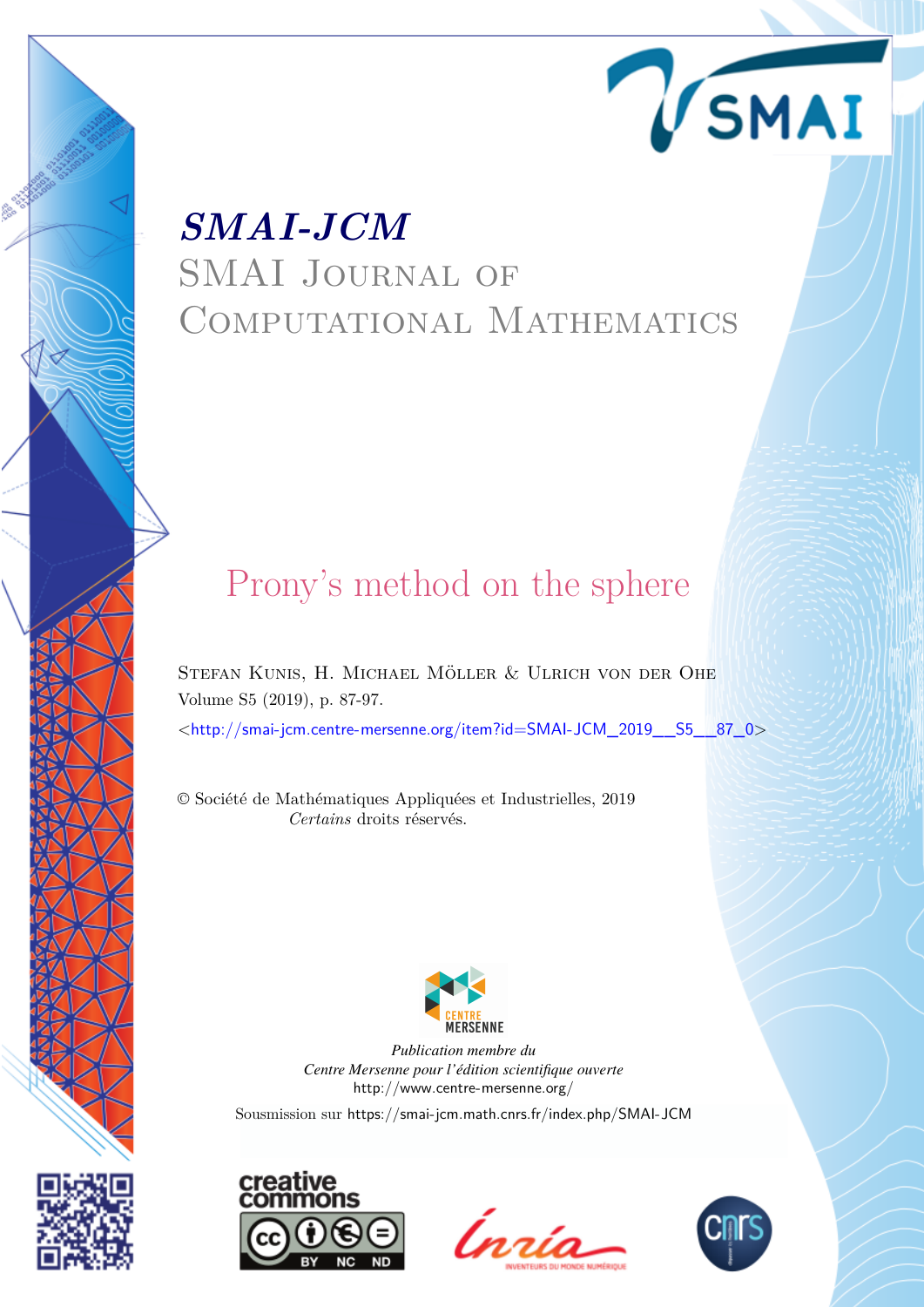# *SMAI-JCM* SMAI Journal of COMPUTATIONAL MATHEMATICS

# Prony's method on the sphere

Stefan Kunis, H. Michael Möller & Ulrich von der Ohe Volume S5 (2019), p. 87-97.

<[http://smai-jcm.centre-mersenne.org/item?id=SMAI-JCM\\_2019\\_\\_S5\\_\\_87\\_0](http://smai-jcm.centre-mersenne.org/item?id=SMAI-JCM_2019__S5__87_0)>

© Société de Mathématiques Appliquées et Industrielles, 2019 *Certains* droits réservés.



*Publication membre du Centre Mersenne pour l'édition scientifique ouverte* <http://www.centre-mersenne.org/>

Sousmission sur <https://smai-jcm.math.cnrs.fr/index.php/SMAI-JCM>







VSMAI

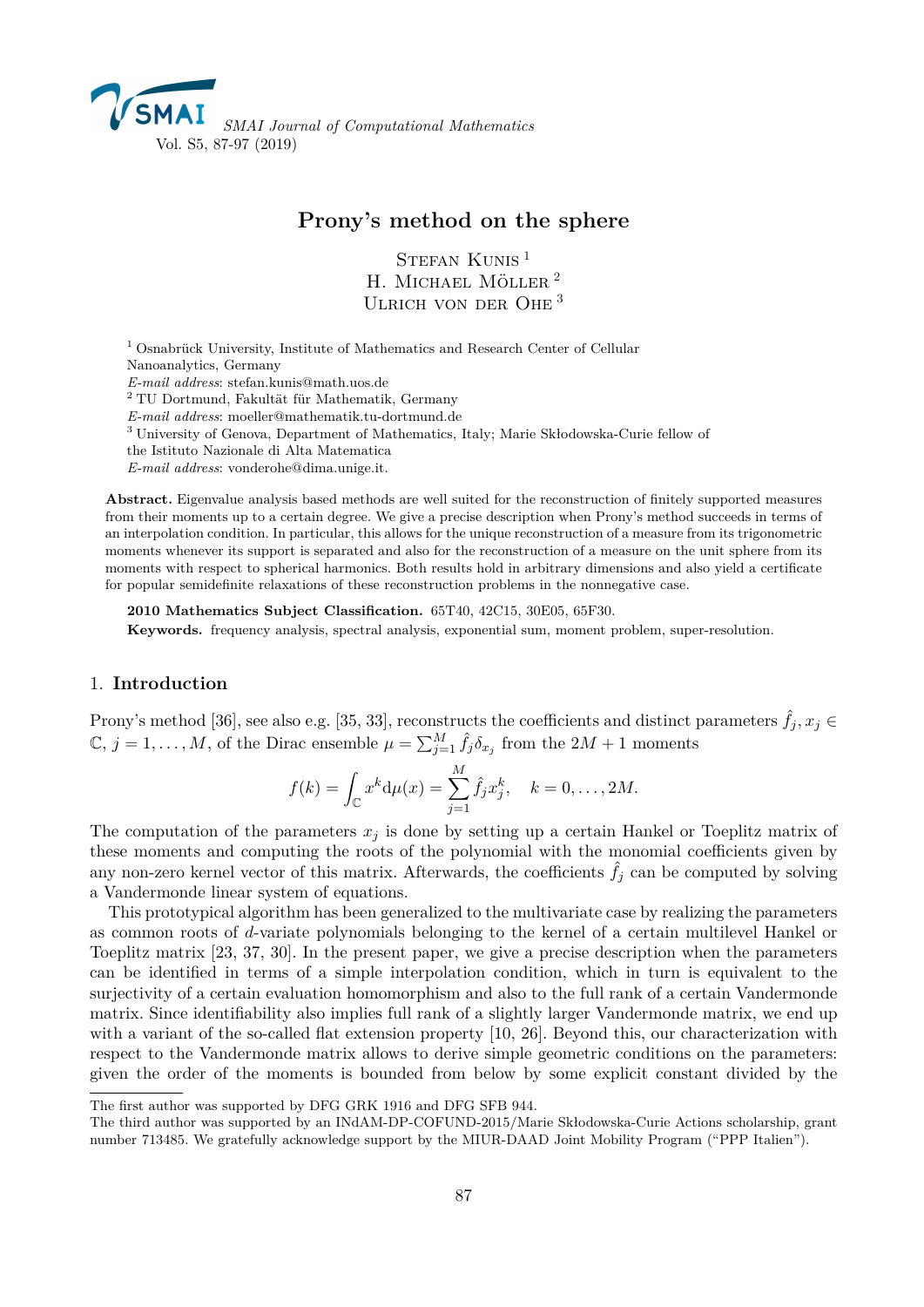

# **Prony's method on the sphere**

STEFAN KUNIS<sup>1</sup> H. MICHAEL MÖLLER<sup>2</sup> ULRICH VON DER OHE<sup>3</sup>

<sup>1</sup> Osnabrück University, Institute of Mathematics and Research Center of Cellular Nanoanalytics, Germany *E-mail address*: [stefan.kunis@math.uos.de](mailto:stefan.kunis@math.uos.de) <sup>2</sup> TU Dortmund, Fakultät für Mathematik, Germany *E-mail address*: [moeller@mathematik.tu-dortmund.de](mailto:moeller@mathematik.tu-dortmund.de) <sup>3</sup> University of Genova, Department of Mathematics, Italy; Marie Skłodowska-Curie fellow of the Istituto Nazionale di Alta Matematica

*E-mail address*: [vonderohe@dima.unige.it.](mailto:vonderohe@dima.unige.it)

**Abstract.** Eigenvalue analysis based methods are well suited for the reconstruction of finitely supported measures from their moments up to a certain degree. We give a precise description when Prony's method succeeds in terms of an interpolation condition. In particular, this allows for the unique reconstruction of a measure from its trigonometric moments whenever its support is separated and also for the reconstruction of a measure on the unit sphere from its moments with respect to spherical harmonics. Both results hold in arbitrary dimensions and also yield a certificate for popular semidefinite relaxations of these reconstruction problems in the nonnegative case.

**2010 Mathematics Subject Classification.** 65T40, 42C15, 30E05, 65F30.

**Keywords.** frequency analysis, spectral analysis, exponential sum, moment problem, super-resolution.

# 1. **Introduction**

Prony's method [\[36\]](#page-11-0), see also e.g. [\[35,](#page-11-1) [33\]](#page-11-2), reconstructs the coefficients and distinct parameters  $\hat{f}_i, x_i \in$  $\mathbb{C}, j = 1, \ldots, M$ , of the Dirac ensemble  $\mu = \sum_{j=1}^{M} \hat{f}_j \delta_{x_j}$  from the  $2M + 1$  moments

$$
f(k) = \int_{\mathbb{C}} x^k d\mu(x) = \sum_{j=1}^{M} \hat{f}_j x_j^k, \quad k = 0, ..., 2M.
$$

The computation of the parameters  $x_j$  is done by setting up a certain Hankel or Toeplitz matrix of these moments and computing the roots of the polynomial with the monomial coefficients given by any non-zero kernel vector of this matrix. Afterwards, the coefficients  $\hat{f}_j$  can be computed by solving a Vandermonde linear system of equations.

This prototypical algorithm has been generalized to the multivariate case by realizing the parameters as common roots of *d*-variate polynomials belonging to the kernel of a certain multilevel Hankel or Toeplitz matrix [\[23,](#page-10-0) [37,](#page-11-3) [30\]](#page-11-4). In the present paper, we give a precise description when the parameters can be identified in terms of a simple interpolation condition, which in turn is equivalent to the surjectivity of a certain evaluation homomorphism and also to the full rank of a certain Vandermonde matrix. Since identifiability also implies full rank of a slightly larger Vandermonde matrix, we end up with a variant of the so-called flat extension property [\[10,](#page-10-1) [26\]](#page-10-2). Beyond this, our characterization with respect to the Vandermonde matrix allows to derive simple geometric conditions on the parameters: given the order of the moments is bounded from below by some explicit constant divided by the

The first author was supported by DFG GRK 1916 and DFG SFB 944.

The third author was supported by an INdAM-DP-COFUND-2015/Marie Skłodowska-Curie Actions scholarship, grant number 713485. We gratefully acknowledge support by the MIUR-DAAD Joint Mobility Program ("PPP Italien").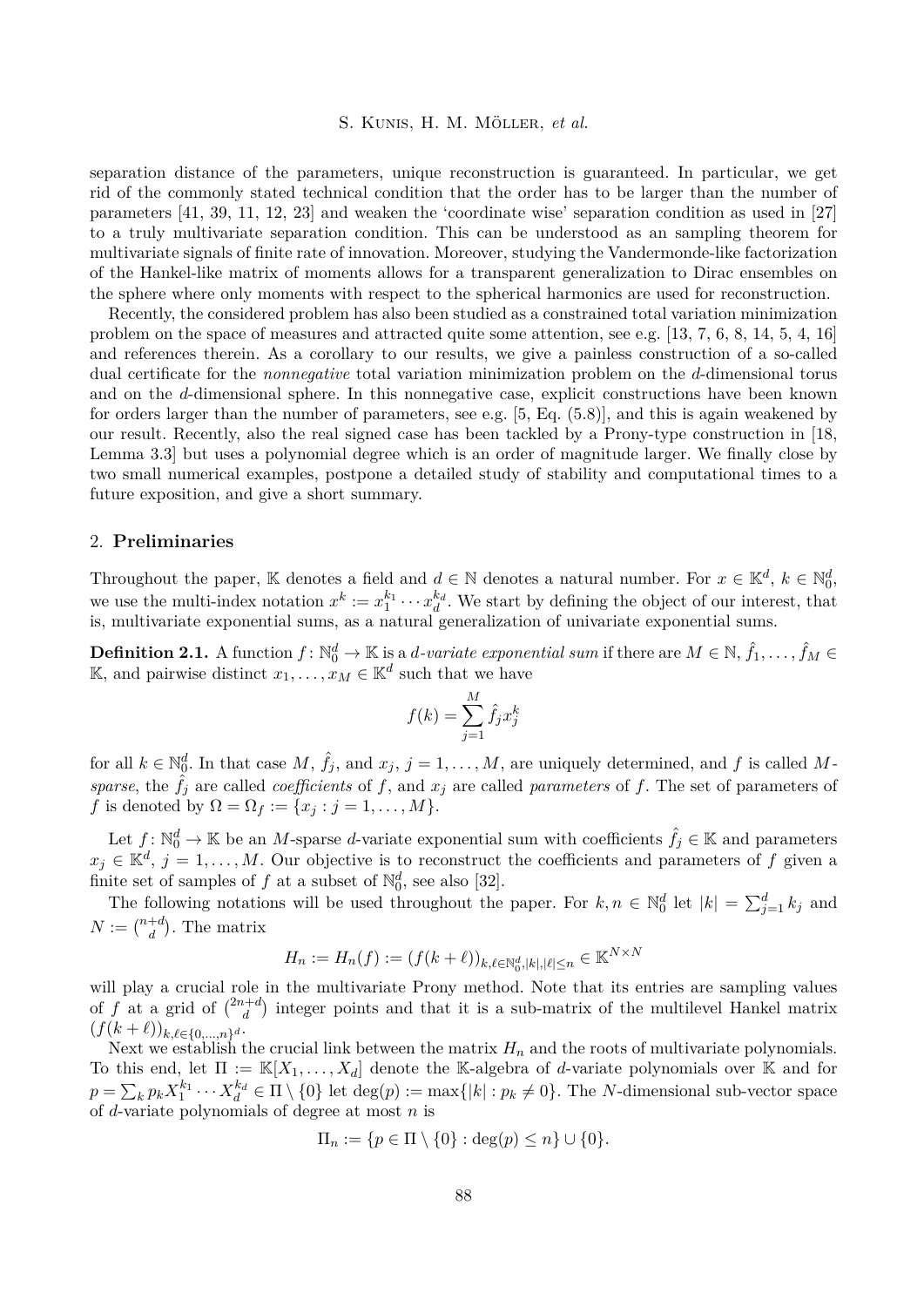separation distance of the parameters, unique reconstruction is guaranteed. In particular, we get rid of the commonly stated technical condition that the order has to be larger than the number of parameters [\[41,](#page-11-5) [39,](#page-11-6) [11,](#page-10-3) [12,](#page-10-4) [23\]](#page-10-0) and weaken the 'coordinate wise' separation condition as used in [\[27\]](#page-10-5) to a truly multivariate separation condition. This can be understood as an sampling theorem for multivariate signals of finite rate of innovation. Moreover, studying the Vandermonde-like factorization of the Hankel-like matrix of moments allows for a transparent generalization to Dirac ensembles on the sphere where only moments with respect to the spherical harmonics are used for reconstruction.

Recently, the considered problem has also been studied as a constrained total variation minimization problem on the space of measures and attracted quite some attention, see e.g. [\[13,](#page-10-6) [7,](#page-10-7) [6,](#page-10-8) [8,](#page-10-9) [14,](#page-10-10) [5,](#page-10-11) [4,](#page-9-0) [16\]](#page-10-12) and references therein. As a corollary to our results, we give a painless construction of a so-called dual certificate for the *nonnegative* total variation minimization problem on the *d*-dimensional torus and on the *d*-dimensional sphere. In this nonnegative case, explicit constructions have been known for orders larger than the number of parameters, see e.g. [\[5,](#page-10-11) Eq. (5.8)], and this is again weakened by our result. Recently, also the real signed case has been tackled by a Prony-type construction in [\[18,](#page-10-13) Lemma 3.3] but uses a polynomial degree which is an order of magnitude larger. We finally close by two small numerical examples, postpone a detailed study of stability and computational times to a future exposition, and give a short summary.

# 2. **Preliminaries**

Throughout the paper, K denotes a field and  $d \in \mathbb{N}$  denotes a natural number. For  $x \in \mathbb{K}^d$ ,  $k \in \mathbb{N}_0^d$ , we use the multi-index notation  $x^k := x_1^{k_1} \cdots x_d^{k_d}$ . We start by defining the object of our interest, that is, multivariate exponential sums, as a natural generalization of univariate exponential sums.

<span id="page-2-0"></span> $\bf{Definition 2.1.} \ \ A \ \ function \ f: \mathbb{N}_0^d \to \mathbb{K} \ \text{is a $d$-variate exponential sum if there are $M \in \mathbb{N}$, $\hat{f}_1,\dots,\hat{f}_M \in \mathbb{N}_0^d$ and $\hat{f}_1,\dots,\hat{f}_M \in \mathbb{N}_0^d$ and $\hat{f}_2,\dots,\hat{f}_M \in \mathbb{N}_0^d$ and $\hat{f}_1,\dots,\hat{f}_M \in \mathbb{N}_0^d$ and $\hat{f}_2,\dots,\hat{f}_M \in \mathbb{N}_0^d$ and $\hat{f}_1,\dots,\hat{f}_M \in \mathbb{N$ K, and pairwise distinct  $x_1, \ldots, x_M \in \mathbb{K}^d$  such that we have

$$
f(k) = \sum_{j=1}^{M} \hat{f}_j x_j^k
$$

for all  $k \in \mathbb{N}_0^d$ . In that case  $M$ ,  $\hat{f}_j$ , and  $x_j$ ,  $j = 1, \ldots, M$ , are uniquely determined, and  $f$  is called  $M$ *sparse*, the  $\hat{f}_i$  are called *coefficients* of f, and  $x_j$  are called *parameters* of f. The set of parameters of *f* is denoted by  $\Omega = \Omega_f := \{x_j : j = 1, ..., M\}.$ 

Let  $f: \mathbb{N}_0^d \to \mathbb{K}$  be an *M*-sparse *d*-variate exponential sum with coefficients  $\hat{f}_j \in \mathbb{K}$  and parameters  $x_j \in \mathbb{K}^d$ ,  $j = 1, \ldots, M$ . Our objective is to reconstruct the coefficients and parameters of *f* given a finite set of samples of  $f$  at a subset of  $\mathbb{N}_0^d$ , see also [\[32\]](#page-11-7).

The following notations will be used throughout the paper. For  $k, n \in \mathbb{N}_0^d$  let  $|k| = \sum_{j=1}^d k_j$  and  $N := \binom{n+d}{d}$ . The matrix

$$
H_n := H_n(f) := (f(k+\ell))_{k,\ell \in \mathbb{N}_0^d, |k|, |\ell| \le n} \in \mathbb{K}^{N \times N}
$$

will play a crucial role in the multivariate Prony method. Note that its entries are sampling values of f at a grid of  $\binom{2n+d}{d}$  $\binom{a+d}{d}$  integer points and that it is a sub-matrix of the multilevel Hankel matrix  $(f(k+\ell))_{k,\ell \in \{0,\ldots,n\}^d}$ .

Next we establish the crucial link between the matrix  $H_n$  and the roots of multivariate polynomials. To this end, let  $\Pi := \mathbb{K}[X_1,\ldots,X_d]$  denote the K-algebra of *d*-variate polynomials over K and for  $p = \sum_{k} p_k X_1^{k_1} \cdots X_d^{k_d} \in \Pi \setminus \{0\}$  let  $\deg(p) := \max\{|k| : p_k \neq 0\}$ . The *N*-dimensional sub-vector space of *d*-variate polynomials of degree at most *n* is

$$
\Pi_n := \{ p \in \Pi \setminus \{0\} : \deg(p) \le n \} \cup \{0\}.
$$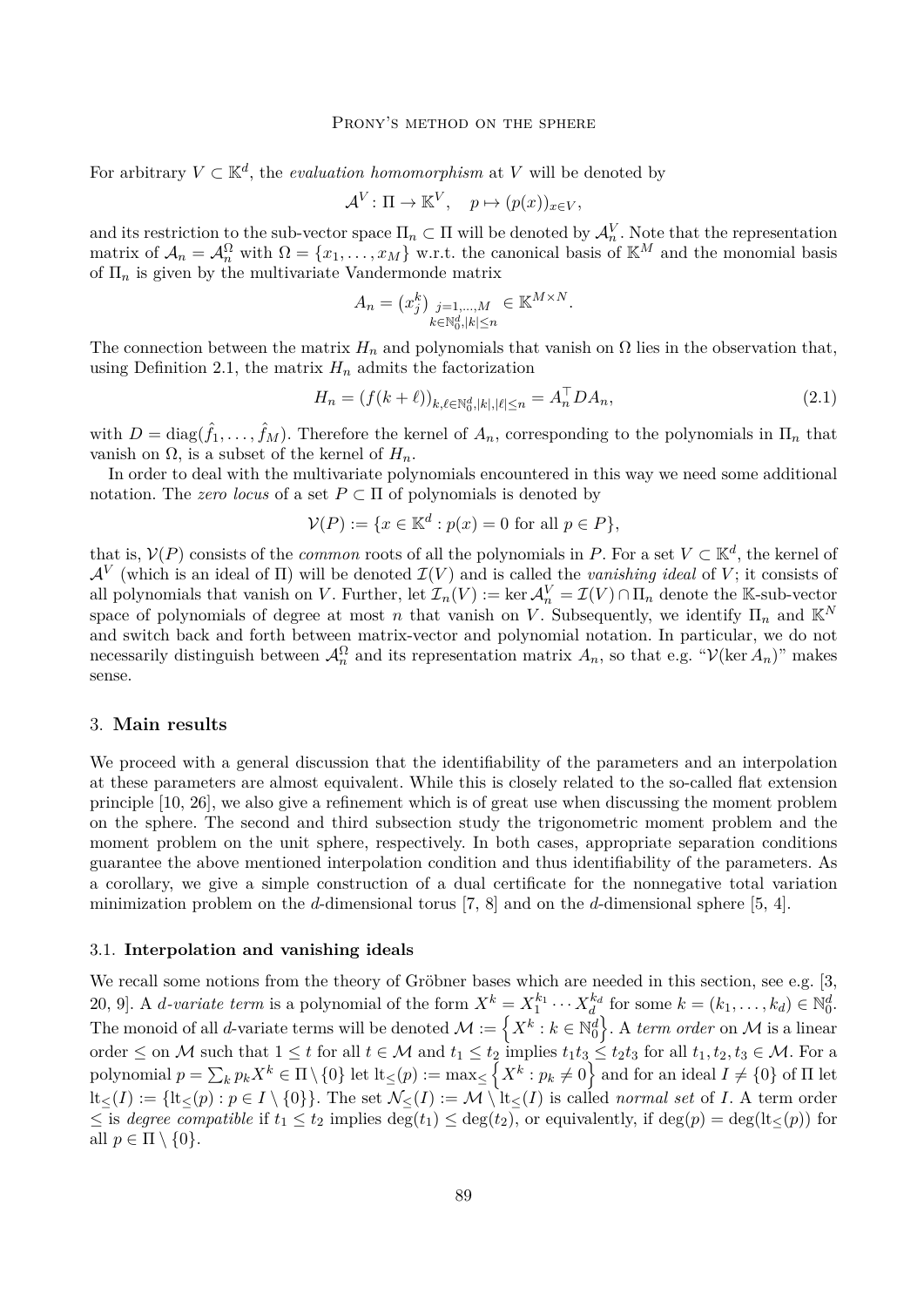#### PRONY'S METHOD ON THE SPHERE

For arbitrary  $V \subset \mathbb{K}^d$ , the *evaluation homomorphism* at V will be denoted by

$$
\mathcal{A}^V \colon \Pi \to \mathbb{K}^V, \quad p \mapsto (p(x))_{x \in V},
$$

and its restriction to the sub-vector space  $\Pi_n \subset \Pi$  will be denoted by  $\mathcal{A}_n^V$ . Note that the representation matrix of  $\mathcal{A}_n = \mathcal{A}_n^{\Omega}$  with  $\Omega = \{x_1, \ldots, x_M\}$  w.r.t. the canonical basis of  $\mathbb{K}^M$  and the monomial basis of Π*<sup>n</sup>* is given by the multivariate Vandermonde matrix

$$
A_n = (x_j^k)_{\substack{j=1,\ldots,M\\k \in \mathbb{N}_0^d, |k| \le n}} \in \mathbb{K}^{M \times N}.
$$

The connection between the matrix  $H_n$  and polynomials that vanish on  $\Omega$  lies in the observation that, using Definition [2.1,](#page-2-0) the matrix  $H_n$  admits the factorization

<span id="page-3-0"></span>
$$
H_n = (f(k+\ell))_{k,\ell \in \mathbb{N}_0^d, |k|, |\ell| \le n} = A_n^\top D A_n,\tag{2.1}
$$

with  $D = \text{diag}(\hat{f}_1, \dots, \hat{f}_M)$ . Therefore the kernel of  $A_n$ , corresponding to the polynomials in  $\Pi_n$  that vanish on Ω, is a subset of the kernel of  $H_n$ .

In order to deal with the multivariate polynomials encountered in this way we need some additional notation. The *zero locus* of a set  $P \subset \Pi$  of polynomials is denoted by

$$
\mathcal{V}(P) := \{ x \in \mathbb{K}^d : p(x) = 0 \text{ for all } p \in P \},
$$

that is,  $V(P)$  consists of the *common* roots of all the polynomials in *P*. For a set  $V \subset \mathbb{K}^d$ , the kernel of  $\mathcal{A}^V$  (which is an ideal of  $\Pi$ ) will be denoted  $\mathcal{I}(V)$  and is called the *vanishing ideal* of V; it consists of all polynomials that vanish on *V*. Further, let  $\mathcal{I}_n(V) := \ker \mathcal{A}_n^V = \mathcal{I}(V) \cap \Pi_n$  denote the K-sub-vector space of polynomials of degree at most *n* that vanish on *V*. Subsequently, we identify  $\Pi_n$  and  $\mathbb{K}^N$ and switch back and forth between matrix-vector and polynomial notation. In particular, we do not necessarily distinguish between  $\mathcal{A}_n^{\Omega}$  and its representation matrix  $A_n$ , so that e.g. " $\mathcal{V}(\ker A_n)$ " makes sense.

# 3. **Main results**

We proceed with a general discussion that the identifiability of the parameters and an interpolation at these parameters are almost equivalent. While this is closely related to the so-called flat extension principle [\[10,](#page-10-1) [26\]](#page-10-2), we also give a refinement which is of great use when discussing the moment problem on the sphere. The second and third subsection study the trigonometric moment problem and the moment problem on the unit sphere, respectively. In both cases, appropriate separation conditions guarantee the above mentioned interpolation condition and thus identifiability of the parameters. As a corollary, we give a simple construction of a dual certificate for the nonnegative total variation minimization problem on the *d*-dimensional torus [\[7,](#page-10-7) [8\]](#page-10-9) and on the *d*-dimensional sphere [\[5,](#page-10-11) [4\]](#page-9-0).

#### 3.1. **Interpolation and vanishing ideals**

We recall some notions from the theory of Gröbner bases which are needed in this section, see e.g. [\[3,](#page-9-1) [20,](#page-10-14) [9\]](#page-10-15). A *d*-variate term is a polynomial of the form  $X^k = X_1^{k_1} \cdots X_d^{k_d}$  for some  $k = (k_1, \ldots, k_d) \in \mathbb{N}_0^d$ . The monoid of all *d*-variate terms will be denoted  $\mathcal{M} := \left\{X^k : k \in \mathbb{N}_0^d\right\}$ . A *term order* on  $\mathcal M$  is a linear order  $\leq$  on M such that  $1 \leq t$  for all  $t \in M$  and  $t_1 \leq t_2$  implies  $t_1t_3 \leq t_2t_3$  for all  $t_1, t_2, t_3 \in M$ . For a  $p$ olynomial  $p = \sum_k p_k X^k \in \Pi \setminus \{0\}$  let  $\text{lt}_{\leq}(p) := \max_{\leq} \left\{ X^k : p_k \neq 0 \right\}$  and for an ideal  $I \neq \{0\}$  of  $\Pi$  let  $lt_{\leq}(I) := \{lt_{\leq}(p) : p \in I \setminus \{0\}\}.$  The set  $\mathcal{N}_{\leq}(I) := \mathcal{M} \setminus \text{lt}_{\leq}(I)$  is called *normal set* of *I*. A term order ≤ is *degree compatible* if  $t_1$  ≤  $t_2$  implies deg( $t_1$ ) ≤ deg( $t_2$ ), or equivalently, if deg( $p$ ) = deg( $lt(z(p)$ ) for all  $p \in \Pi \setminus \{0\}.$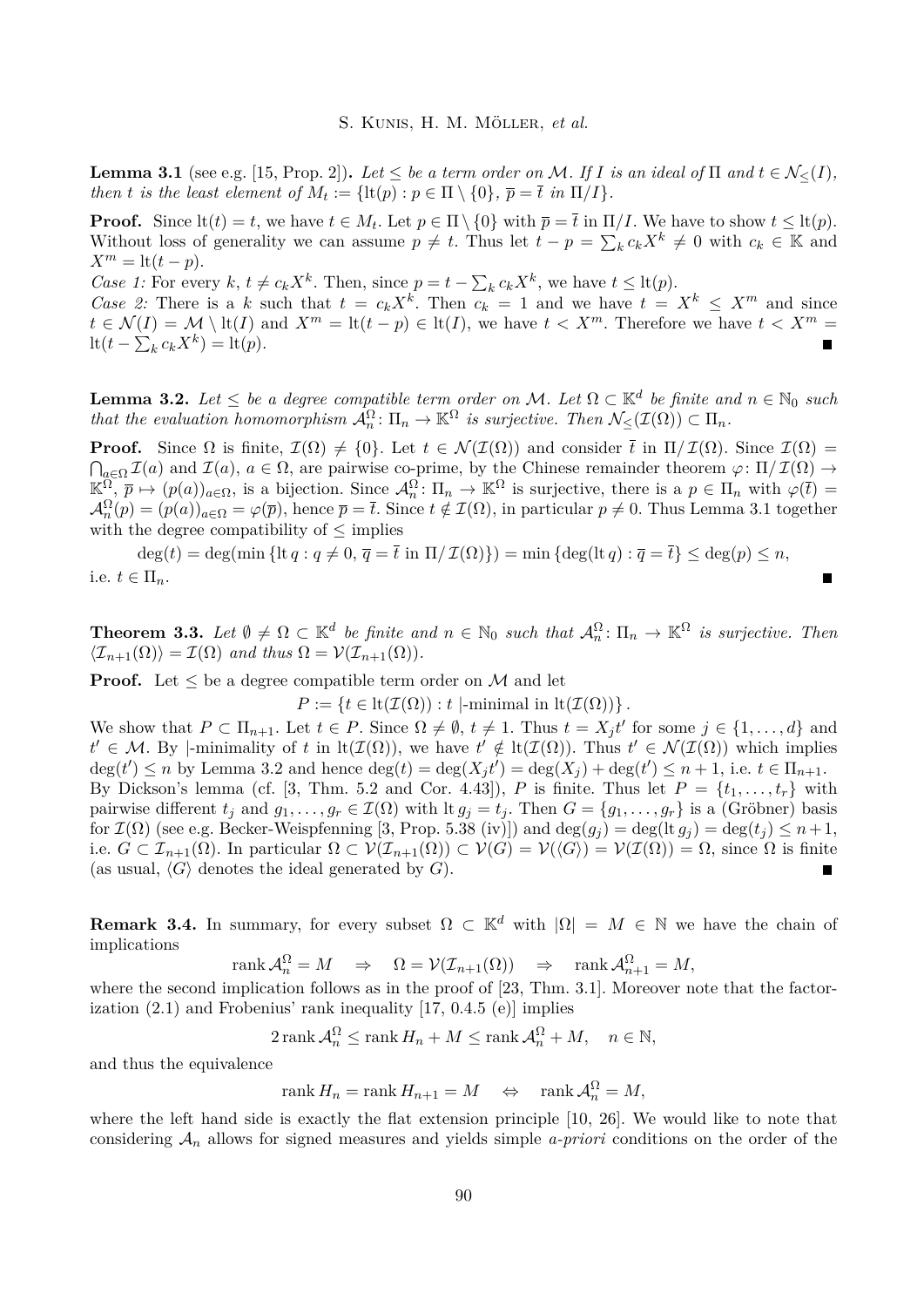<span id="page-4-0"></span>**Lemma 3.1** (see e.g. [\[15,](#page-10-16) Prop. 2]). Let  $\leq$  be a term order on M. If I is an ideal of  $\Pi$  and  $t \in \mathcal{N}_{\leq}(I)$ , *then t is the least element of*  $M_t := \{ \text{lt}(p) : p \in \Pi \setminus \{0\}, \overline{p} = \overline{t} \text{ in } \Pi / I \}.$ 

**Proof.** Since  $\text{lt}(t) = t$ , we have  $t \in M_t$ . Let  $p \in \Pi \setminus \{0\}$  with  $\overline{p} = \overline{t}$  in  $\Pi / I$ . We have to show  $t \leq \text{lt}(p)$ . Without loss of generality we can assume  $p \neq t$ . Thus let  $t - p = \sum_{k} c_k X^k \neq 0$  with  $c_k \in \mathbb{K}$  and  $X^m = \text{lt}(t - p).$ 

*Case 1:* For every  $k, t \neq c_k X^k$ . Then, since  $p = t - \sum_k c_k X^k$ , we have  $t \leq \text{lt}(p)$ .

*Case 2:* There is a *k* such that  $t = c_k X^k$ . Then  $c_k = 1$  and we have  $t = X^k \le X^m$  and since  $t \in \mathcal{N}(I) = \mathcal{M} \setminus \text{lt}(I)$  and  $X^m = \text{lt}(t - p) \in \text{lt}(I)$ , we have  $t < X^m$ . Therefore we have  $t < X^m$  $\operatorname{lt}(t - \sum_{k} c_k X^k) = \operatorname{lt}(p).$  $\blacksquare$ 

<span id="page-4-1"></span>**Lemma 3.2.** *Let*  $\leq$  *be a degree compatible term order on* M. *Let*  $\Omega \subset \mathbb{K}^d$  *be finite and*  $n \in \mathbb{N}_0$  *such that the evaluation homomorphism*  $\mathcal{A}_n^{\Omega} \colon \Pi_n \to \mathbb{K}^{\Omega}$  *is surjective. Then*  $\mathcal{N}_{\leq}(\mathcal{I}(\Omega)) \subset \Pi_n$ .

**Proof.** Since  $\Omega$  is finite,  $\mathcal{I}(\Omega) \neq \{0\}$ . Let  $t \in \mathcal{N}(\mathcal{I}(\Omega))$  and consider  $\bar{t}$  in  $\Pi/\mathcal{I}(\Omega)$ . Since  $\mathcal{I}(\Omega)$  =  $\bigcap_{a\in\Omega}\mathcal{I}(a)$  and  $\mathcal{I}(a)$ ,  $a\in\Omega$ , are pairwise co-prime, by the Chinese remainder theorem  $\varphi\colon\Pi/\mathcal{I}(\Omega)\to\Omega$  $\mathbb{K}_{\cdot}^{\Omega}$ ,  $\overline{p} \mapsto (p(a))_{a \in \Omega}$ , is a bijection. Since  $\mathcal{A}_{n}^{\Omega}$ :  $\Pi_{n} \to \mathbb{K}^{\Omega}$  is surjective, there is a  $p \in \Pi_{n}$  with  $\varphi(\overline{t}) =$  $\mathcal{A}_n^{\Omega}(p) = (p(a))_{a \in \Omega} = \varphi(\overline{p}),$  hence  $\overline{p} = \overline{t}$ . Since  $t \notin \mathcal{I}(\Omega)$ , in particular  $p \neq 0$ . Thus Lemma [3.1](#page-4-0) together with the degree compatibility of  $\leq$  implies

 $deg(t) = deg(min \{lt; g \neq 0, \overline{q} = \overline{t} \text{ in } \Pi / \mathcal{I}(\Omega) \}) = min \{deg(lt q) : \overline{q} = \overline{t} \} \leq deg(p) \leq n,$ i.e.  $t \in \Pi_n$ .

<span id="page-4-2"></span>**Theorem 3.3.** Let  $\emptyset \neq \Omega \subset \mathbb{K}^d$  be finite and  $n \in \mathbb{N}_0$  such that  $\mathcal{A}_n^{\Omega} \colon \Pi_n \to \mathbb{K}^{\Omega}$  is surjective. Then  $\langle \mathcal{I}_{n+1}(\Omega) \rangle = \mathcal{I}(\Omega)$  *and thus*  $\Omega = \mathcal{V}(\mathcal{I}_{n+1}(\Omega)).$ 

**Proof.** Let  $\leq$  be a degree compatible term order on M and let

 $P := \{t \in \text{lt}(\mathcal{I}(\Omega)) : t \mid \text{-minimal in } \text{lt}(\mathcal{I}(\Omega))\}.$ 

We show that  $P \subset \Pi_{n+1}$ . Let  $t \in P$ . Since  $\Omega \neq \emptyset$ ,  $t \neq 1$ . Thus  $t = X_j t'$  for some  $j \in \{1, ..., d\}$  and  $t' \in \mathcal{M}$ . By |-minimality of *t* in  $lt(\mathcal{I}(\Omega))$ , we have  $t' \notin \text{lt}(\mathcal{I}(\Omega))$ . Thus  $t' \in \mathcal{N}(\mathcal{I}(\Omega))$  which implies  $deg(t') \le n$  by Lemma [3.2](#page-4-1) and hence  $deg(t) = deg(X_j t') = deg(X_j) + deg(t') \le n + 1$ , i.e.  $t \in \Pi_{n+1}$ . By Dickson's lemma (cf. [\[3,](#page-9-1) Thm. 5.2 and Cor. 4.43]), *P* is finite. Thus let  $P = \{t_1, \ldots, t_r\}$  with pairwise different  $t_j$  and  $g_1, \ldots, g_r \in \mathcal{I}(\Omega)$  with It  $g_j = t_j$ . Then  $G = \{g_1, \ldots, g_r\}$  is a (Gröbner) basis for  $\mathcal{I}(\Omega)$  (see e.g. Becker-Weispfenning [\[3,](#page-9-1) Prop. 5.38 (iv)]) and  $\deg(g_i) = \deg(\text{lt } g_j) = \deg(t_j) \leq n+1$ , i.e.  $G \subset \mathcal{I}_{n+1}(\Omega)$ . In particular  $\Omega \subset \mathcal{V}(\mathcal{I}_{n+1}(\Omega)) \subset \mathcal{V}(G) = \mathcal{V}(\langle G \rangle) = \mathcal{V}(\mathcal{I}(\Omega)) = \Omega$ , since  $\Omega$  is finite (as usual,  $\langle G \rangle$  denotes the ideal generated by *G*). Г

**Remark 3.4.** In summary, for every subset  $\Omega \subset \mathbb{K}^d$  with  $|\Omega| = M \in \mathbb{N}$  we have the chain of implications

$$
rank \mathcal{A}_n^{\Omega} = M \Rightarrow \Omega = \mathcal{V}(\mathcal{I}_{n+1}(\Omega)) \Rightarrow \text{rank } \mathcal{A}_{n+1}^{\Omega} = M,
$$

where the second implication follows as in the proof of [\[23,](#page-10-0) Thm. 3.1]. Moreover note that the factorization  $(2.1)$  and Frobenius' rank inequality  $[17, 0.4.5 (e)]$  $[17, 0.4.5 (e)]$  implies

$$
2\operatorname{rank}\mathcal{A}_n^{\Omega} \le \operatorname{rank} H_n + M \le \operatorname{rank}\mathcal{A}_n^{\Omega} + M, \quad n \in \mathbb{N},
$$

and thus the equivalence

$$
rank H_n = rank H_{n+1} = M \quad \Leftrightarrow \quad rank \mathcal{A}_n^{\Omega} = M,
$$

where the left hand side is exactly the flat extension principle [\[10,](#page-10-1) [26\]](#page-10-2). We would like to note that considering A*<sup>n</sup>* allows for signed measures and yields simple *a-priori* conditions on the order of the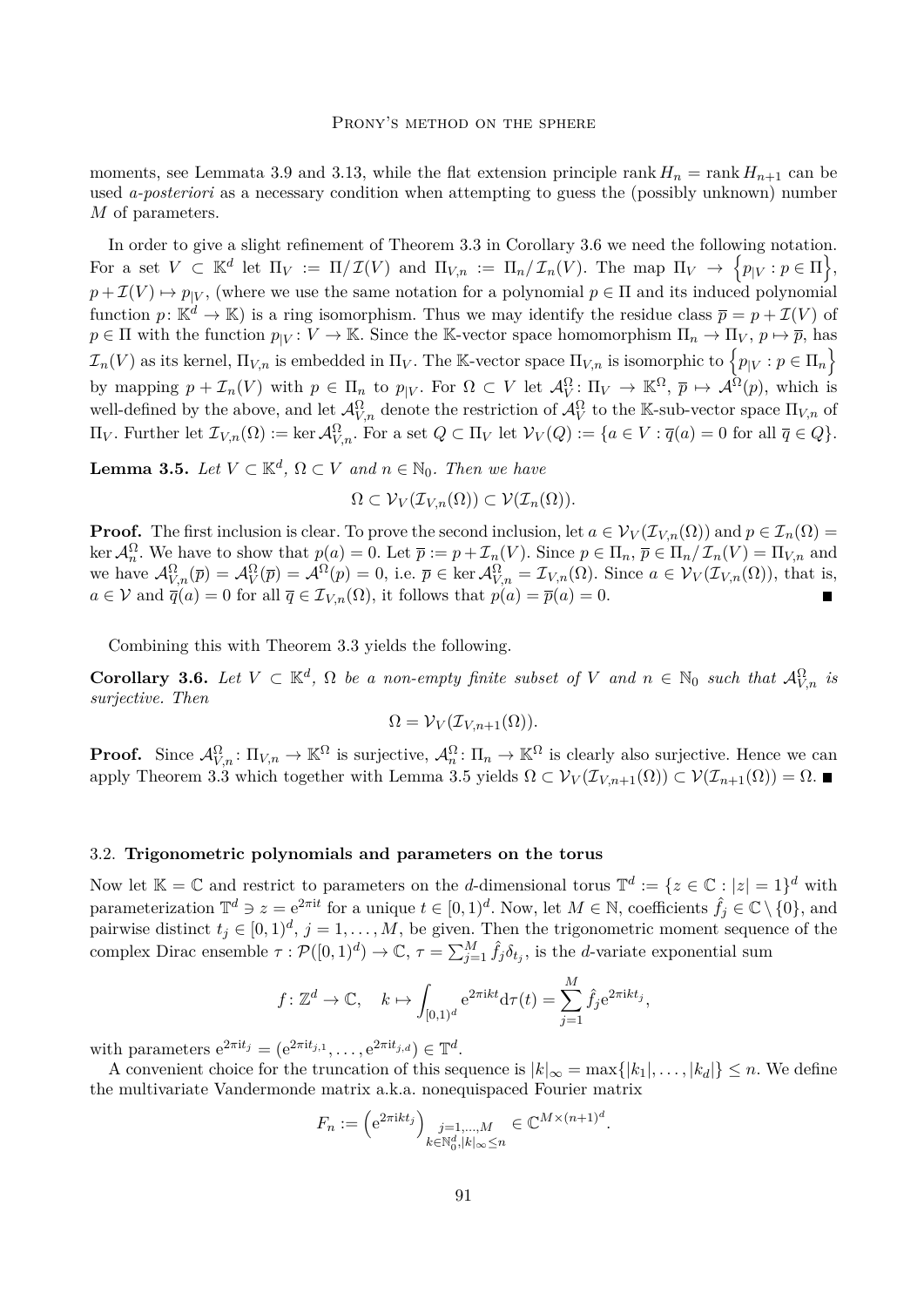moments, see Lemmata [3.9](#page-6-0) and [3.13,](#page-7-0) while the flat extension principle rank  $H_n = \text{rank } H_{n+1}$  can be used *a-posteriori* as a necessary condition when attempting to guess the (possibly unknown) number *M* of parameters.

In order to give a slight refinement of Theorem [3.3](#page-4-2) in Corollary [3.6](#page-5-0) we need the following notation. For a set  $V \subset \mathbb{K}^d$  let  $\Pi_V := \Pi / \mathcal{I}(V)$  and  $\Pi_{V,n} := \Pi_n / \mathcal{I}_n(V)$ . The map  $\Pi_V \to \{p_{|V} : p \in \Pi\},$  $p + \mathcal{I}(V) \mapsto p_{|V}$ , (where we use the same notation for a polynomial  $p \in \Pi$  and its induced polynomial function  $p: \mathbb{K}^d \to \mathbb{K}$  is a ring isomorphism. Thus we may identify the residue class  $\overline{p} = p + \mathcal{I}(V)$  of  $p \in \Pi$  with the function  $p_{|V}: V \to \mathbb{K}$ . Since the K-vector space homomorphism  $\Pi_n \to \Pi_V$ ,  $p \mapsto \overline{p}$ , has  $\mathcal{I}_n(V)$  as its kernel,  $\Pi_{V,n}$  is embedded in  $\Pi_V$ . The K-vector space  $\Pi_{V,n}$  is isomorphic to  $\left\{p_{|V}: p \in \Pi_n\right\}$ by mapping  $p + \mathcal{I}_n(V)$  with  $p \in \Pi_n$  to  $p_{|V}$ . For  $\Omega \subset V$  let  $\mathcal{A}_V^{\Omega} \colon \Pi_V \to \mathbb{K}^{\Omega}, \overline{p} \mapsto \mathcal{A}^{\Omega}(p)$ , which is well-defined by the above, and let  $\mathcal{A}_{V,n}^{\Omega}$  denote the restriction of  $\mathcal{A}_{V}^{\Omega}$  to the K-sub-vector space  $\Pi_{V,n}$  of  $\Pi_V$ . Further let  $\mathcal{I}_{V,n}(\Omega) := \ker \mathcal{A}_{V,n}^{\Omega}$ . For a set  $Q \subset \Pi_V$  let  $\mathcal{V}_V(Q) := \{a \in V : \overline{q}(a) = 0 \text{ for all } \overline{q} \in Q\}.$ 

<span id="page-5-1"></span>**Lemma 3.5.** *Let*  $V \subset \mathbb{K}^d$ ,  $\Omega \subset V$  *and*  $n \in \mathbb{N}_0$ *. Then we have* 

$$
\Omega \subset \mathcal{V}_V(\mathcal{I}_{V,n}(\Omega)) \subset \mathcal{V}(\mathcal{I}_n(\Omega)).
$$

**Proof.** The first inclusion is clear. To prove the second inclusion, let  $a \in V_V(\mathcal{I}_{V,n}(\Omega))$  and  $p \in \mathcal{I}_n(\Omega)$  $\ker A_n^{\Omega}$ . We have to show that  $p(a) = 0$ . Let  $\overline{p} := p + \mathcal{I}_n(V)$ . Since  $p \in \Pi_n$ ,  $\overline{p} \in \Pi_n/\mathcal{I}_n(V) = \Pi_{V,n}$  and we have  $\mathcal{A}_{V,n}^{\Omega}(\overline{p}) = \mathcal{A}_{V}^{\Omega}(\overline{p}) = \mathcal{A}^{\Omega}(p) = 0$ , i.e.  $\overline{p} \in \ker \mathcal{A}_{V,n}^{\Omega} = \mathcal{I}_{V,n}(\Omega)$ . Since  $a \in \mathcal{V}_{V}(\mathcal{I}_{V,n}(\Omega))$ , that is,  $a \in V$  and  $\overline{q}(a) = 0$  for all  $\overline{q} \in \mathcal{I}_{V,n}(\Omega)$ , it follows that  $p(a) = \overline{p}(a) = 0$ .

Combining this with Theorem [3.3](#page-4-2) yields the following.

<span id="page-5-0"></span>**Corollary 3.6.** Let  $V \subset \mathbb{K}^d$ ,  $\Omega$  be a non-empty finite subset of V and  $n \in \mathbb{N}_0$  such that  $\mathcal{A}_{V,n}^{\Omega}$  is *surjective. Then*

$$
\Omega = \mathcal{V}_V(\mathcal{I}_{V,n+1}(\Omega)).
$$

**Proof.** Since  $\mathcal{A}_{V,n}^{\Omega} : \Pi_{V,n} \to \mathbb{K}^{\Omega}$  is surjective,  $\mathcal{A}_n^{\Omega} : \Pi_n \to \mathbb{K}^{\Omega}$  is clearly also surjective. Hence we can apply Theorem [3.3](#page-4-2) which together with Lemma [3.5](#page-5-1) yields  $\Omega \subset \mathcal{V}_V(\mathcal{I}_{V,n+1}(\Omega)) \subset \mathcal{V}(\mathcal{I}_{n+1}(\Omega)) = \Omega$ .

#### 3.2. **Trigonometric polynomials and parameters on the torus**

Now let  $\mathbb{K} = \mathbb{C}$  and restrict to parameters on the *d*-dimensional torus  $\mathbb{T}^d := \{z \in \mathbb{C} : |z| = 1\}^d$  with parameterization  $\mathbb{T}^d \ni z = e^{2\pi i t}$  for a unique  $t \in [0,1)^d$ . Now, let  $M \in \mathbb{N}$ , coefficients  $\hat{f}_j \in \mathbb{C} \setminus \{0\}$ , and pairwise distinct  $t_j \in [0,1)^d$ ,  $j = 1, \ldots, M$ , be given. Then the trigonometric moment sequence of the complex Dirac ensemble  $\tau : \mathcal{P}([0,1)^d) \to \mathbb{C}, \tau = \sum_{j=1}^M \hat{f}_j \delta_{t_j}$ , is the *d*-variate exponential sum

$$
f: \mathbb{Z}^d \to \mathbb{C}, \quad k \mapsto \int_{[0,1)^d} e^{2\pi i kt} d\tau(t) = \sum_{j=1}^M \hat{f}_j e^{2\pi i kt_j},
$$

with parameters  $e^{2\pi i t_j} = (e^{2\pi i t_{j,1}}, \dots, e^{2\pi i t_{j,d}}) \in \mathbb{T}^d$ .

A convenient choice for the truncation of this sequence is  $|k|_{\infty} = \max\{|k_1|, \ldots, |k_d|\} \leq n$ . We define the multivariate Vandermonde matrix a.k.a. nonequispaced Fourier matrix

$$
F_n := \left(\mathrm{e}^{2\pi \mathrm{i} kt_j}\right)_{\substack{j=1,\ldots,M\\k \in \mathbb{N}_0^d, |k|_\infty \le n}} \in \mathbb{C}^{M \times (n+1)^d}.
$$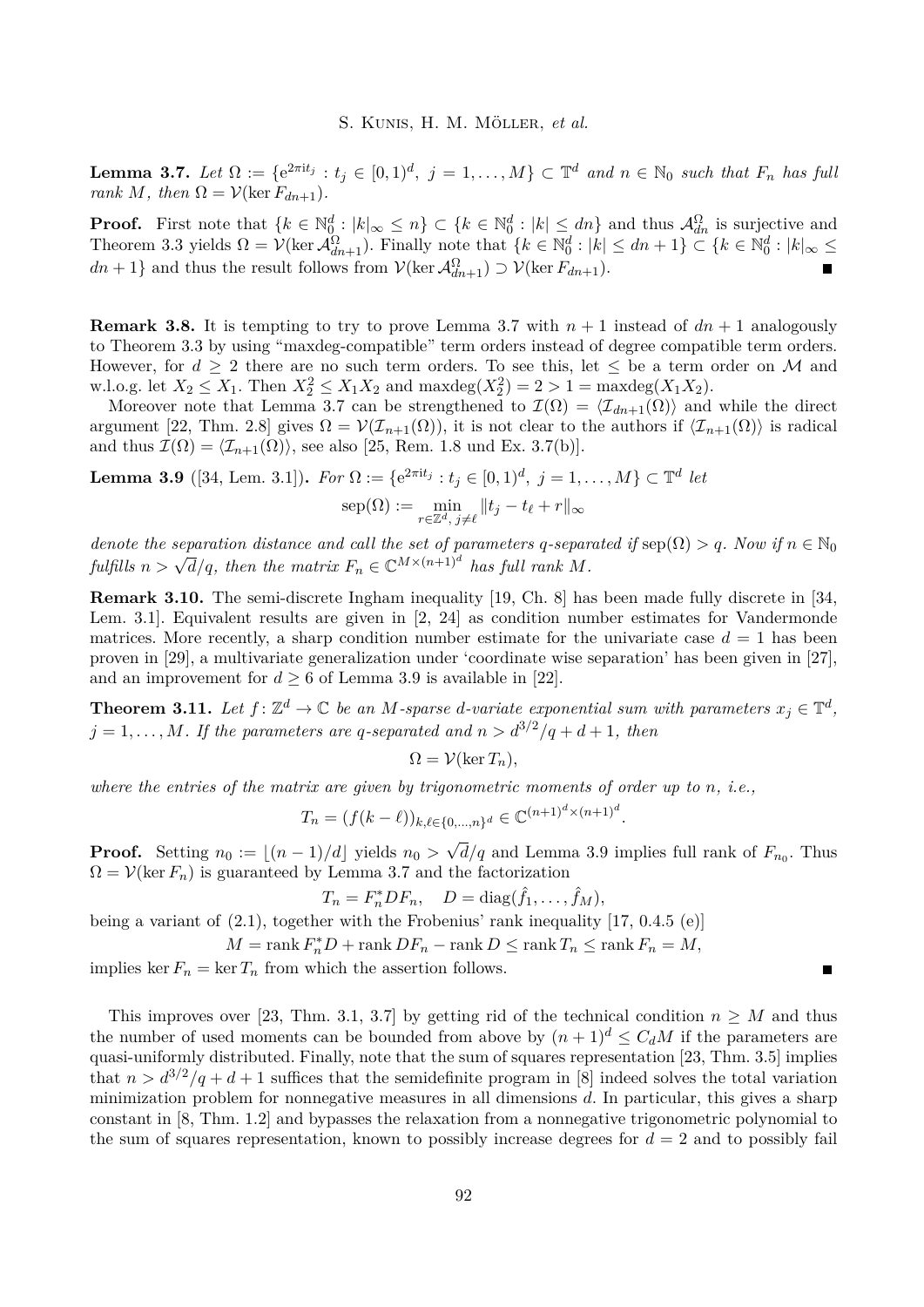<span id="page-6-1"></span>**Lemma 3.7.** Let  $\Omega := \{e^{2\pi i t_j} : t_j \in [0,1)^d, j = 1,\ldots,M\} \subset \mathbb{T}^d$  and  $n \in \mathbb{N}_0$  such that  $F_n$  has full *rank M, then*  $\Omega = \mathcal{V}(\ker F_{dn+1})$ *.* 

**Proof.** First note that  $\{k \in \mathbb{N}_0^d : |k|_{\infty} \leq n\} \subset \{k \in \mathbb{N}_0^d : |k| \leq dn\}$  and thus  $\mathcal{A}_{dn}^{\Omega}$  is surjective and Theorem [3.3](#page-4-2) yields  $\Omega = \mathcal{V}(\ker \mathcal{A}_{dn+1}^{\Omega})$ . Finally note that  $\{k \in \mathbb{N}_0^d : |k| \leq dn + 1\} \subset \{k \in \mathbb{N}_0^d : |k|_{\infty} \leq$  $dn + 1$ } and thus the result follows from  $\mathcal{V}(\ker \mathcal{A}_{dn+1}^{\Omega}) \supset \mathcal{V}(\ker F_{dn+1})$ .

**Remark 3.8.** It is tempting to try to prove Lemma [3.7](#page-6-1) with  $n + 1$  instead of  $dn + 1$  analogously to Theorem [3.3](#page-4-2) by using "maxdeg-compatible" term orders instead of degree compatible term orders. However, for  $d \geq 2$  there are no such term orders. To see this, let  $\leq$  be a term order on M and w.l.o.g. let  $X_2 \le X_1$ . Then  $X_2^2 \le X_1 X_2$  and  $\max \deg(X_2^2) = 2 > 1 = \max \deg(X_1 X_2)$ .

Moreover note that Lemma [3.7](#page-6-1) can be strengthened to  $\mathcal{I}(\Omega) = \langle \mathcal{I}_{dn+1}(\Omega) \rangle$  and while the direct argument [\[22,](#page-10-18) Thm. 2.8] gives  $\Omega = \mathcal{V}(\mathcal{I}_{n+1}(\Omega))$ , it is not clear to the authors if  $\langle \mathcal{I}_{n+1}(\Omega) \rangle$  is radical and thus  $\mathcal{I}(\Omega) = \langle \mathcal{I}_{n+1}(\Omega) \rangle$ , see also [\[25,](#page-10-19) Rem. 1.8 und Ex. 3.7(b)].

<span id="page-6-0"></span>**Lemma 3.9** ([\[34,](#page-11-8) Lem. 3.1]).  $For \Omega := \{e^{2\pi i t_j} : t_j \in [0,1)^d, j = 1, ..., M\} \subset \mathbb{T}^d$  let

$$
\operatorname{sep}(\Omega) := \min_{r \in \mathbb{Z}^d, \ j \neq \ell} \| t_j - t_\ell + r \|_\infty
$$

*denote the separation distance and call the set of parameters q*-separated if  $\text{sep}(\Omega) > q$ *. Now if*  $n \in \mathbb{N}_0$ *fulfills*  $n > \sqrt{d}/q$ , then the matrix  $F_n \in \mathbb{C}^{M \times (n+1)^d}$  has full rank M.

**Remark 3.10.** The semi-discrete Ingham inequality [\[19,](#page-10-20) Ch. 8] has been made fully discrete in [\[34,](#page-11-8) Lem. 3.1]. Equivalent results are given in [\[2,](#page-9-2) [24\]](#page-10-21) as condition number estimates for Vandermonde matrices. More recently, a sharp condition number estimate for the univariate case  $d = 1$  has been proven in [\[29\]](#page-11-9), a multivariate generalization under 'coordinate wise separation' has been given in [\[27\]](#page-10-5), and an improvement for  $d \geq 6$  of Lemma [3.9](#page-6-0) is available in [\[22\]](#page-10-18).

<span id="page-6-2"></span>**Theorem 3.11.** Let  $f: \mathbb{Z}^d \to \mathbb{C}$  be an M-sparse d-variate exponential sum with parameters  $x_j \in \mathbb{T}^d$ ,  $j = 1, \ldots, M$ *. If the parameters are q-separated and*  $n > d^{3/2}/q + d + 1$ *, then* 

$$
\Omega = \mathcal{V}(\ker T_n),
$$

*where the entries of the matrix are given by trigonometric moments of order up to n, i.e.,*

$$
T_n = (f(k - \ell))_{k, \ell \in \{0, \dots, n\}^d} \in \mathbb{C}^{(n+1)^d \times (n+1)^d}.
$$

**Proof.** Setting  $n_0 := \lfloor (n-1)/d \rfloor$  yields  $n_0 >$ √  $d/q$  and Lemma [3.9](#page-6-0) implies full rank of  $F_{n_0}$ . Thus  $\Omega = \mathcal{V}(\ker F_n)$  is guaranteed by Lemma [3.7](#page-6-1) and the factorization

$$
T_n = F_n^* DF_n, \quad D = \text{diag}(\hat{f}_1, \dots, \hat{f}_M),
$$

being a variant of  $(2.1)$ , together with the Frobenius' rank inequality [\[17,](#page-10-17) 0.4.5 (e)]

 $M = \text{rank } F_n^*D + \text{rank } DF_n - \text{rank } D \leq \text{rank } T_n \leq \text{rank } F_n = M$ ,

implies ker  $F_n = \ker T_n$  from which the assertion follows.

This improves over [\[23,](#page-10-0) Thm. 3.1, 3.7] by getting rid of the technical condition  $n \geq M$  and thus the number of used moments can be bounded from above by  $(n+1)^d \leq C_d M$  if the parameters are quasi-uniformly distributed. Finally, note that the sum of squares representation [\[23,](#page-10-0) Thm. 3.5] implies that  $n > d^{3/2}/q + d + 1$  suffices that the semidefinite program in [\[8\]](#page-10-9) indeed solves the total variation minimization problem for nonnegative measures in all dimensions *d*. In particular, this gives a sharp constant in [\[8,](#page-10-9) Thm. 1.2] and bypasses the relaxation from a nonnegative trigonometric polynomial to the sum of squares representation, known to possibly increase degrees for  $d = 2$  and to possibly fail

Е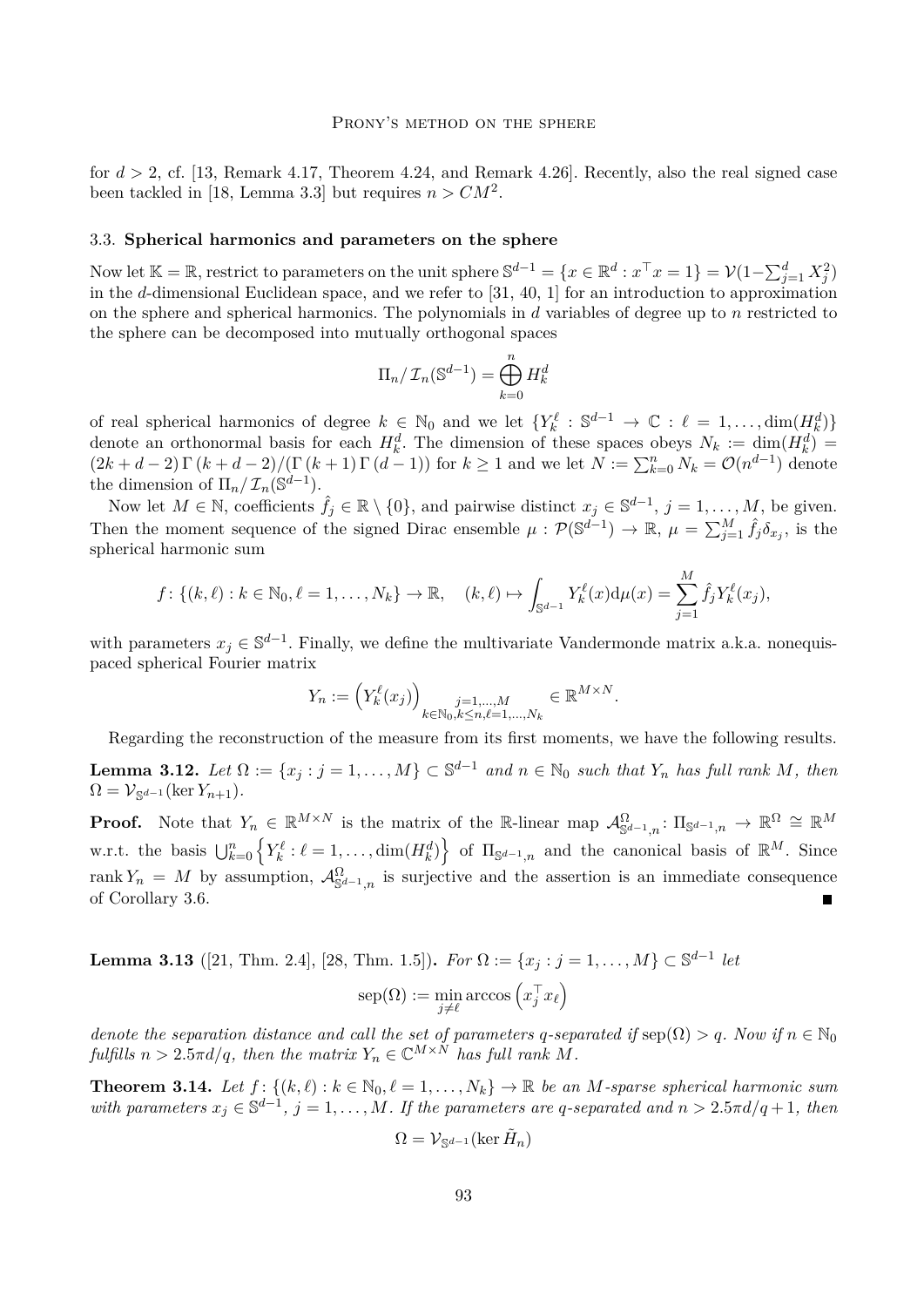#### PRONY'S METHOD ON THE SPHERE

for  $d > 2$ , cf. [\[13,](#page-10-6) Remark 4.17, Theorem 4.24, and Remark 4.26]. Recently, also the real signed case been tackled in [\[18,](#page-10-13) Lemma 3.3] but requires  $n > CM^2$ .

### 3.3. **Spherical harmonics and parameters on the sphere**

Now let  $\mathbb{K} = \mathbb{R}$ , restrict to parameters on the unit sphere  $\mathbb{S}^{d-1} = \{x \in \mathbb{R}^d : x^\top x = 1\} = \mathcal{V}(1 - \sum_{j=1}^d X_j^2)$ in the *d*-dimensional Euclidean space, and we refer to [\[31,](#page-11-10) [40,](#page-11-11) [1\]](#page-9-3) for an introduction to approximation on the sphere and spherical harmonics. The polynomials in *d* variables of degree up to *n* restricted to the sphere can be decomposed into mutually orthogonal spaces

$$
\Pi_n/\mathcal{I}_n(\mathbb{S}^{d-1}) = \bigoplus_{k=0}^n H_k^d
$$

of real spherical harmonics of degree  $k \in \mathbb{N}_0$  and we let  $\{Y_k^{\ell}: \mathbb{S}^{d-1} \to \mathbb{C} : \ell = 1, \ldots, \dim(H_k^d)\}\$ denote an orthonormal basis for each  $H_k^d$ . The dimension of these spaces obeys  $N_k := \dim(H_k^d)$  $(2k + d - 2) \Gamma (k + d - 2) / (\Gamma (k + 1) \Gamma (d - 1))$  for  $k \ge 1$  and we let  $N := \sum_{k=0}^{n} N_k = \mathcal{O}(n^{d-1})$  denote the dimension of  $\Pi_n/\mathcal{I}_n(\mathbb{S}^{d-1})$ .

Now let  $M \in \mathbb{N}$ , coefficients  $\hat{f}_j \in \mathbb{R} \setminus \{0\}$ , and pairwise distinct  $x_j \in \mathbb{S}^{d-1}$ ,  $j = 1, \ldots, M$ , be given. Then the moment sequence of the signed Dirac ensemble  $\mu : \mathcal{P}(\mathbb{S}^{d-1}) \to \mathbb{R}, \ \mu = \sum_{j=1}^{M} \hat{f}_j \delta_{x_j}$ , is the spherical harmonic sum

$$
f: \{(k,\ell): k \in \mathbb{N}_0, \ell = 1,\ldots,N_k\} \to \mathbb{R}, \quad (k,\ell) \mapsto \int_{\mathbb{S}^{d-1}} Y_k^{\ell}(x) d\mu(x) = \sum_{j=1}^M \hat{f}_j Y_k^{\ell}(x_j),
$$

with parameters  $x_j \in \mathbb{S}^{d-1}$ . Finally, we define the multivariate Vandermonde matrix a.k.a. nonequispaced spherical Fourier matrix

$$
Y_n := \left(Y_k^{\ell}(x_j)\right)_{\substack{j=1,\ldots,M\\k\in\mathbb{N}_0,k\leq n,\ell=1,\ldots,N_k}} \in \mathbb{R}^{M\times N}.
$$

Regarding the reconstruction of the measure from its first moments, we have the following results.

<span id="page-7-1"></span>**Lemma 3.12.** Let  $\Omega := \{x_j : j = 1, \ldots, M\} \subset \mathbb{S}^{d-1}$  and  $n \in \mathbb{N}_0$  such that  $Y_n$  has full rank  $M$ , then  $\Omega = \mathcal{V}_{\mathbb{S}^{d-1}}(\ker Y_{n+1}).$ 

**Proof.** Note that  $Y_n \in \mathbb{R}^{M \times N}$  is the matrix of the R-linear map  $\mathcal{A}^{\Omega}_{\mathbb{S}^{d-1},n}$ :  $\Pi_{\mathbb{S}^{d-1},n} \to \mathbb{R}^{\Omega} \cong \mathbb{R}^M$ w.r.t. the basis  $\bigcup_{k=0}^n \{ Y_k^{\ell} : \ell = 1, \ldots, \dim(H_k^d) \}$  of  $\Pi_{\mathbb{S}^{d-1},n}$  and the canonical basis of  $\mathbb{R}^M$ . Since rank  $Y_n = M$  by assumption,  $\mathcal{A}^{\Omega}_{\mathbb{S}^{d-1},n}$  is surjective and the assertion is an immediate consequence of Corollary [3.6.](#page-5-0) п

<span id="page-7-0"></span>**Lemma 3.13** ([\[21,](#page-10-22) Thm. 2.4], [\[28,](#page-10-23) Thm. 1.5]). *For*  $\Omega := \{x_j : j = 1, ..., M\} \subset \mathbb{S}^{d-1}$  *let* 

$$
\operatorname{sep}(\Omega):=\min_{j\neq \ell}\operatorname{arccos}\left(x_j^\top x_\ell\right)
$$

*denote the separation distance and call the set of parameters q*-separated if  $\text{sep}(\Omega) > q$ *. Now if*  $n \in \mathbb{N}_0$ *fulfills*  $n > 2.5\pi d/q$ *, then the matrix*  $Y_n \in \mathbb{C}^{M \times N}$  *has full rank*  $M$ *.* 

<span id="page-7-2"></span>**Theorem 3.14.** Let  $f: \{(k, \ell): k \in \mathbb{N}_0, \ell = 1, \ldots, N_k\} \to \mathbb{R}$  be an *M*-sparse spherical harmonic sum *with parameters*  $x_j \in \mathbb{S}^{d-1}$ ,  $j = 1, ..., M$ . If the parameters are q-separated and  $n > 2.5\pi d/q + 1$ , then

$$
\Omega = \mathcal{V}_{\mathbb{S}^{d-1}}(\ker \tilde{H}_n)
$$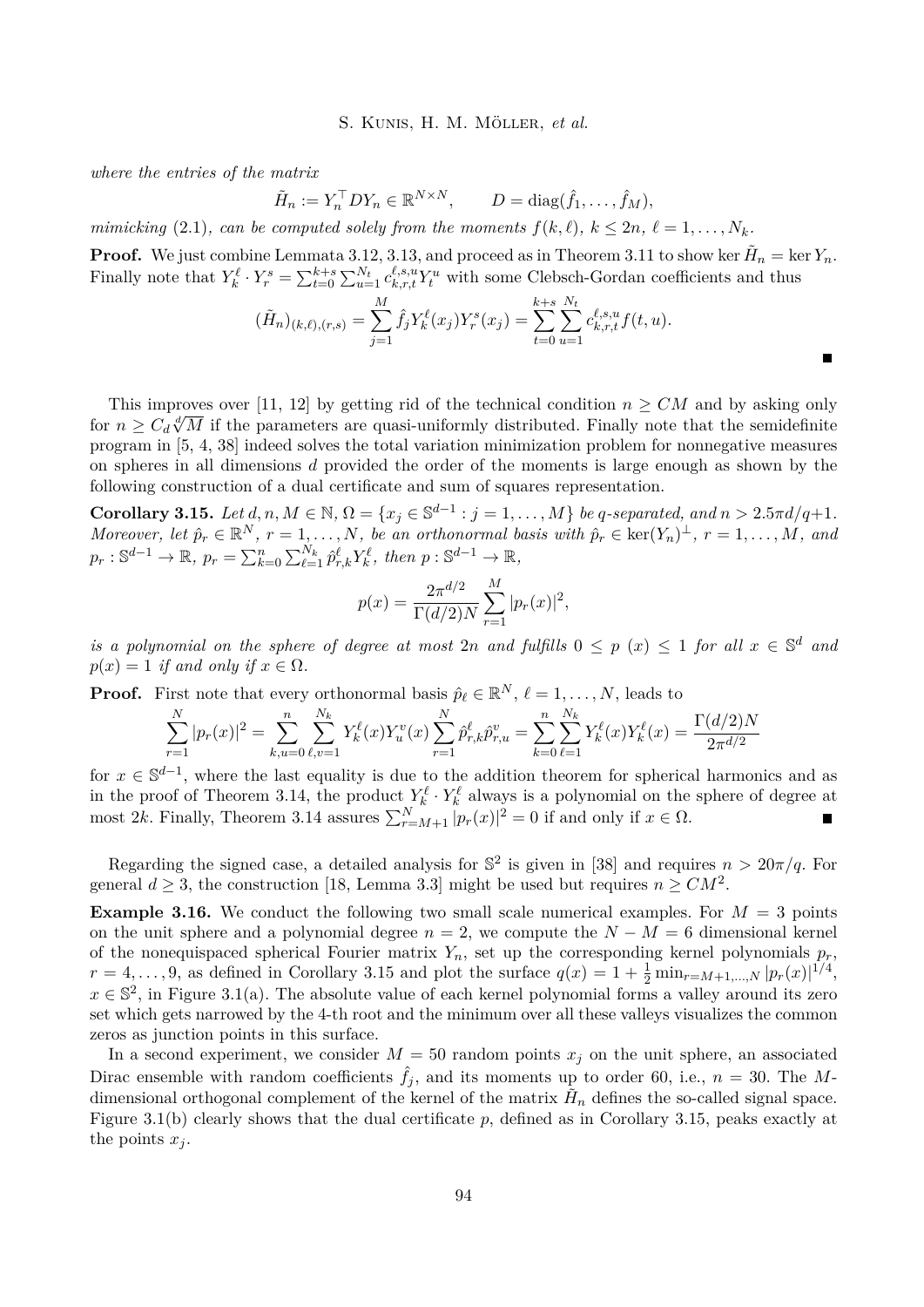*where the entries of the matrix*

$$
\tilde{H}_n := Y_n^\top D Y_n \in \mathbb{R}^{N \times N}, \qquad D = \text{diag}(\hat{f}_1, \dots, \hat{f}_M),
$$

*mimicking* [\(2.1\)](#page-3-0)*, can be computed solely from the moments*  $f(k, \ell)$ *,*  $k \leq 2n, \ell = 1, ..., N_k$ *.* 

**Proof.** We just combine Lemmata [3.12,](#page-7-1) [3.13,](#page-7-0) and proceed as in Theorem [3.11](#page-6-2) to show ker  $\tilde{H}_n = \ker Y_n$ . Finally note that  $Y_k^{\ell} \cdot Y_r^s = \sum_{t=0}^{k+s} \sum_{u=1}^{N_t} c_{k,r,t}^{\ell,s,u} Y_t^u$  with some Clebsch-Gordan coefficients and thus

$$
(\tilde{H}_n)_{(k,\ell),(r,s)} = \sum_{j=1}^M \hat{f}_j Y_k^{\ell}(x_j) Y_r^s(x_j) = \sum_{t=0}^{k+s} \sum_{u=1}^{N_t} c_{k,r,t}^{\ell,s,u} f(t,u).
$$

This improves over [\[11,](#page-10-3) [12\]](#page-10-4) by getting rid of the technical condition  $n \geq CM$  and by asking only for  $n \geq C_d \sqrt[d]{M}$  if the parameters are quasi-uniformly distributed. Finally note that the semidefinite<br>for  $n \geq C_d \sqrt[d]{M}$  if the parameters are quasi-uniformly distributed. Finally note that the semidefinite program in [\[5,](#page-10-11) [4,](#page-9-0) [38\]](#page-11-12) indeed solves the total variation minimization problem for nonnegative measures on spheres in all dimensions *d* provided the order of the moments is large enough as shown by the following construction of a dual certificate and sum of squares representation.

<span id="page-8-0"></span>**Corollary 3.15.** Let  $d, n, M \in \mathbb{N}, \Omega = \{x_j \in \mathbb{S}^{d-1} : j = 1, ..., M\}$  be q-separated, and  $n > 2.5\pi d/q + 1$ . *Moreover, let*  $\hat{p}_r \in \mathbb{R}^N$ ,  $r = 1, \ldots, N$ , be an orthonormal basis with  $\hat{p}_r \in \text{ker}(Y_n)^\perp$ ,  $r = 1, \ldots, M$ , and  $p_r : \mathbb{S}^{d-1} \to \mathbb{R}, \ p_r = \sum_{k=0}^n \sum_{\ell=1}^{N_k} \hat{p}_{r,k}^{\ell} Y_k^{\ell}, \text{ then } p : \mathbb{S}^{d-1} \to \mathbb{R},$ 

$$
p(x) = \frac{2\pi^{d/2}}{\Gamma(d/2)N} \sum_{r=1}^{M} |p_r(x)|^2,
$$

*is a polynomial on the sphere of degree at most 2<i>n* and fulfills  $0 \leq p(x) \leq 1$  for all  $x \in \mathbb{S}^d$  and  $p(x) = 1$  *if and only if*  $x \in \Omega$ *.* 

**Proof.** First note that every orthonormal basis  $\hat{p}_\ell \in \mathbb{R}^N$ ,  $\ell = 1, \ldots, N$ , leads to

$$
\sum_{r=1}^{N} |p_r(x)|^2 = \sum_{k,u=0}^{n} \sum_{\ell,v=1}^{N_k} Y_k^{\ell}(x) Y_u^v(x) \sum_{r=1}^{N} \hat{p}_{r,k}^{\ell} \hat{p}_{r,u}^v = \sum_{k=0}^{n} \sum_{\ell=1}^{N_k} Y_k^{\ell}(x) Y_k^{\ell}(x) = \frac{\Gamma(d/2)N}{2\pi^{d/2}}
$$

for  $x \in \mathbb{S}^{d-1}$ , where the last equality is due to the addition theorem for spherical harmonics and as in the proof of Theorem [3.14,](#page-7-2) the product  $Y_k^{\ell} \cdot Y_k^{\ell}$  always is a polynomial on the sphere of degree at most 2*k*. Finally, Theorem [3.14](#page-7-2) assures  $\sum_{r=M+1}^{N} |p_r(x)|^2 = 0$  if and only if  $x \in \Omega$ .

Regarding the signed case, a detailed analysis for  $\mathbb{S}^2$  is given in [\[38\]](#page-11-12) and requires  $n > 20\pi/q$ . For general  $d \geq 3$ , the construction [\[18,](#page-10-13) Lemma 3.3] might be used but requires  $n \geq CM^2$ .

**Example 3.16.** We conduct the following two small scale numerical examples. For  $M = 3$  points on the unit sphere and a polynomial degree  $n = 2$ , we compute the  $N - M = 6$  dimensional kernel of the nonequispaced spherical Fourier matrix  $Y_n$ , set up the corresponding kernel polynomials  $p_r$ ,  $r = 4, \ldots, 9$ , as defined in Corollary [3.15](#page-8-0) and plot the surface  $q(x) = 1 + \frac{1}{2} \min_{r=M+1,\ldots,N} |p_r(x)|^{1/4}$ ,  $x \in \mathbb{S}^2$ , in Figure [3.1\(](#page-9-4)a). The absolute value of each kernel polynomial forms a valley around its zero set which gets narrowed by the 4-th root and the minimum over all these valleys visualizes the common zeros as junction points in this surface.

In a second experiment, we consider  $M = 50$  random points  $x_j$  on the unit sphere, an associated Dirac ensemble with random coefficients  $\hat{f}_i$ , and its moments up to order 60, i.e.,  $n = 30$ . The Mdimensional orthogonal complement of the kernel of the matrix  $\tilde{H}_n$  defines the so-called signal space. Figure [3.1\(](#page-9-4)b) clearly shows that the dual certificate p, defined as in Corollary [3.15,](#page-8-0) peaks exactly at the points  $x_j$ .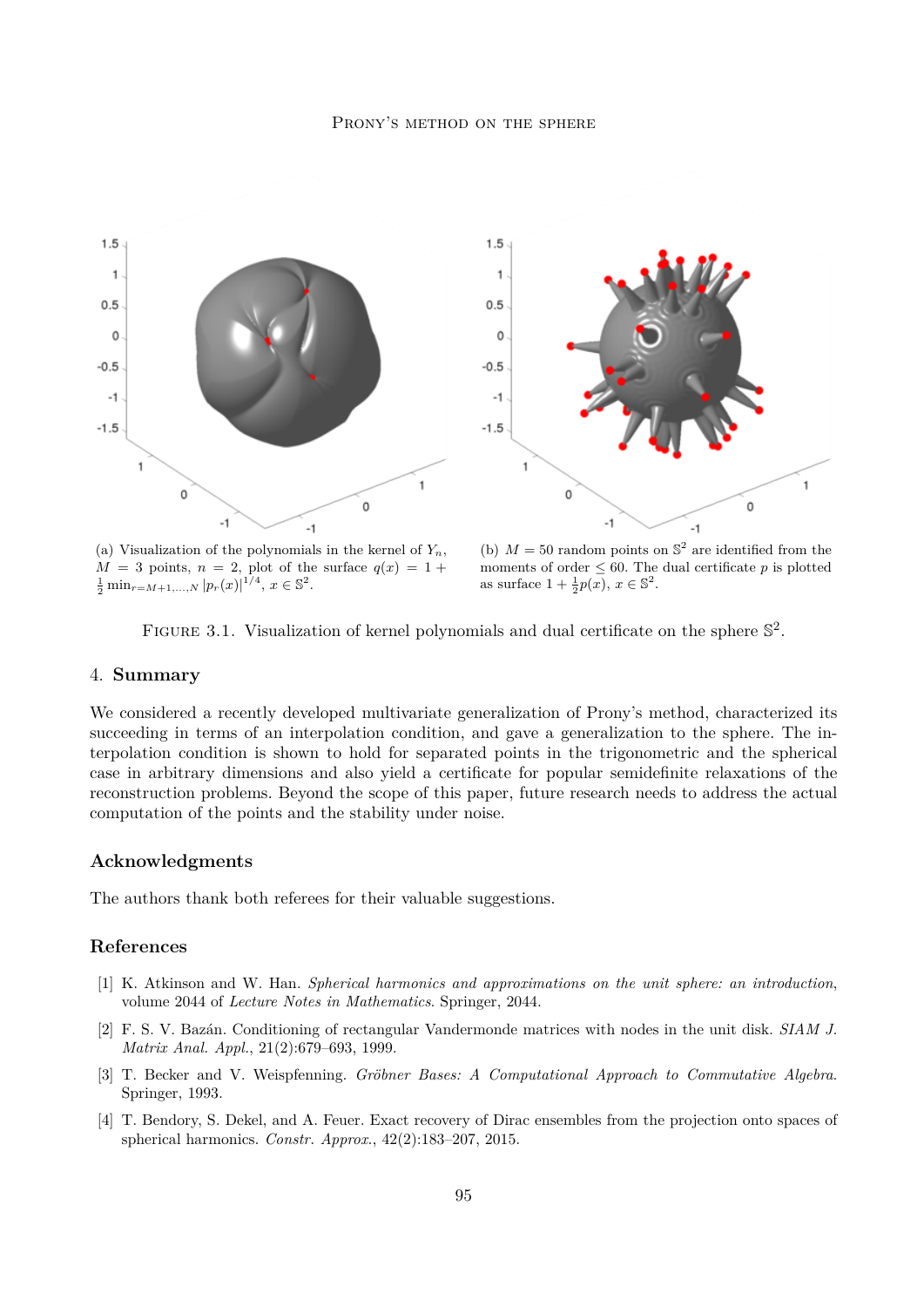

(a) Visualization of the polynomials in the kernel of *Yn*,  $M = 3$  points,  $n = 2$ , plot of the surface  $q(x) = 1 +$  $\frac{1}{2} \min_{r=M+1,\dots,N} |p_r(x)|^{1/4}, x \in \mathbb{S}^2.$ 

(b)  $M = 50$  random points on  $\mathbb{S}^2$  are identified from the moments of order  $\leq 60$ . The dual certificate p is plotted as surface  $1 + \frac{1}{2}p(x), x \in \mathbb{S}^2$ .

<span id="page-9-4"></span>

# 4. **Summary**

We considered a recently developed multivariate generalization of Prony's method, characterized its succeeding in terms of an interpolation condition, and gave a generalization to the sphere. The interpolation condition is shown to hold for separated points in the trigonometric and the spherical case in arbitrary dimensions and also yield a certificate for popular semidefinite relaxations of the reconstruction problems. Beyond the scope of this paper, future research needs to address the actual computation of the points and the stability under noise.

# **Acknowledgments**

The authors thank both referees for their valuable suggestions.

# **References**

- <span id="page-9-3"></span>[1] K. Atkinson and W. Han. *Spherical harmonics and approximations on the unit sphere: an introduction*, volume 2044 of *Lecture Notes in Mathematics*. Springer, 2044.
- <span id="page-9-2"></span>[2] F. S. V. Bazán. Conditioning of rectangular Vandermonde matrices with nodes in the unit disk. *SIAM J. Matrix Anal. Appl.*, 21(2):679–693, 1999.
- <span id="page-9-1"></span>[3] T. Becker and V. Weispfenning. *Gröbner Bases: A Computational Approach to Commutative Algebra*. Springer, 1993.
- <span id="page-9-0"></span>[4] T. Bendory, S. Dekel, and A. Feuer. Exact recovery of Dirac ensembles from the projection onto spaces of spherical harmonics. *Constr. Approx.*, 42(2):183–207, 2015.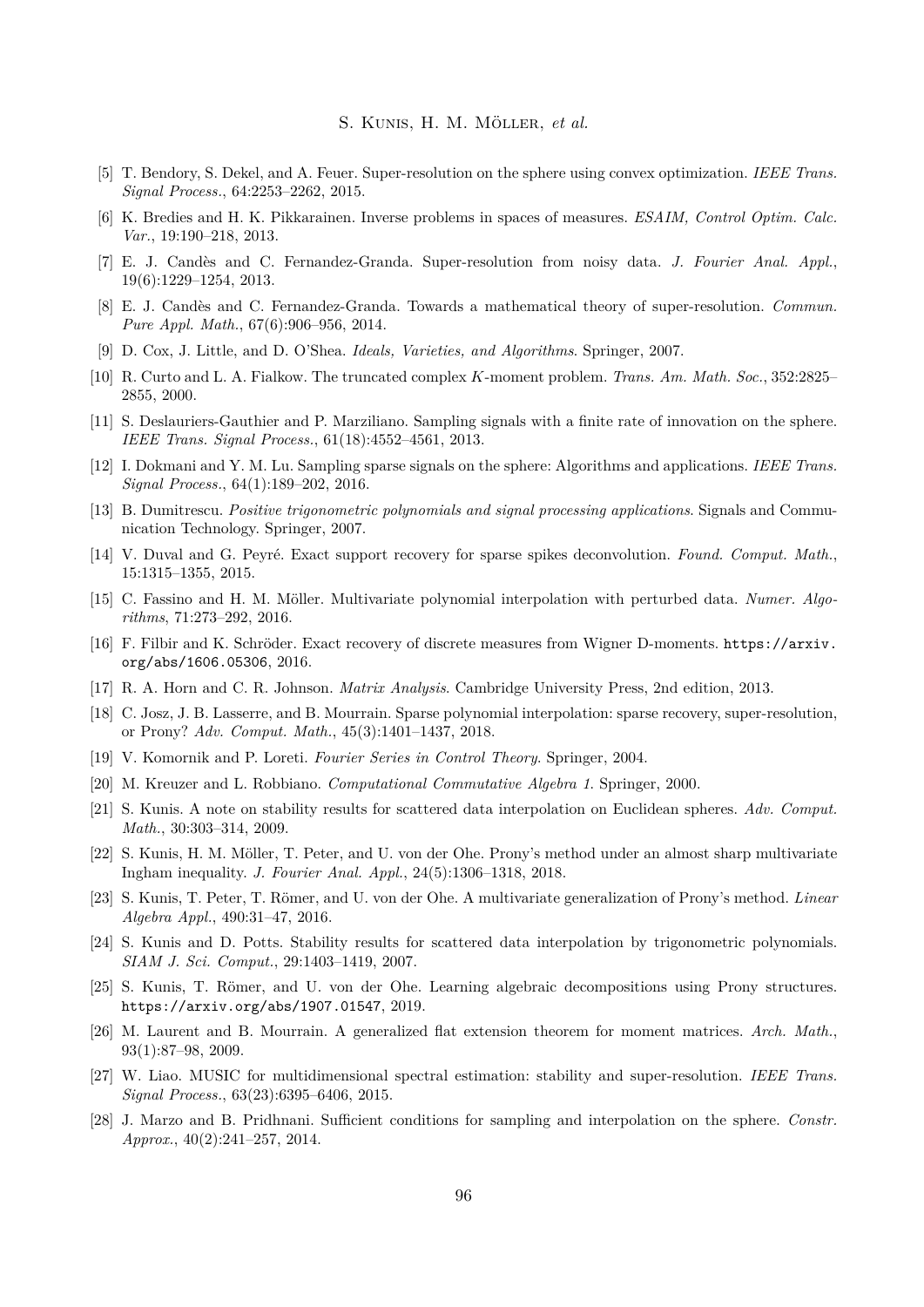- <span id="page-10-11"></span>[5] T. Bendory, S. Dekel, and A. Feuer. Super-resolution on the sphere using convex optimization. *IEEE Trans. Signal Process.*, 64:2253–2262, 2015.
- <span id="page-10-8"></span>[6] K. Bredies and H. K. Pikkarainen. Inverse problems in spaces of measures. *ESAIM, Control Optim. Calc. Var.*, 19:190–218, 2013.
- <span id="page-10-7"></span>[7] E. J. Candès and C. Fernandez-Granda. Super-resolution from noisy data. *J. Fourier Anal. Appl.*, 19(6):1229–1254, 2013.
- <span id="page-10-9"></span>[8] E. J. Candès and C. Fernandez-Granda. Towards a mathematical theory of super-resolution. *Commun. Pure Appl. Math.*, 67(6):906–956, 2014.
- <span id="page-10-15"></span>[9] D. Cox, J. Little, and D. O'Shea. *Ideals, Varieties, and Algorithms*. Springer, 2007.
- <span id="page-10-1"></span>[10] R. Curto and L. A. Fialkow. The truncated complex *K*-moment problem. *Trans. Am. Math. Soc.*, 352:2825– 2855, 2000.
- <span id="page-10-3"></span>[11] S. Deslauriers-Gauthier and P. Marziliano. Sampling signals with a finite rate of innovation on the sphere. *IEEE Trans. Signal Process.*, 61(18):4552–4561, 2013.
- <span id="page-10-4"></span>[12] I. Dokmani and Y. M. Lu. Sampling sparse signals on the sphere: Algorithms and applications. *IEEE Trans. Signal Process.*, 64(1):189–202, 2016.
- <span id="page-10-6"></span>[13] B. Dumitrescu. *Positive trigonometric polynomials and signal processing applications*. Signals and Communication Technology. Springer, 2007.
- <span id="page-10-10"></span>[14] V. Duval and G. Peyré. Exact support recovery for sparse spikes deconvolution. *Found. Comput. Math.*, 15:1315–1355, 2015.
- <span id="page-10-16"></span>[15] C. Fassino and H. M. Möller. Multivariate polynomial interpolation with perturbed data. *Numer. Algorithms*, 71:273–292, 2016.
- <span id="page-10-12"></span>[16] F. Filbir and K. Schröder. Exact recovery of discrete measures from Wigner D-moments. [https://arxiv.](https://arxiv.org/abs/1606.05306) [org/abs/1606.05306](https://arxiv.org/abs/1606.05306), 2016.
- <span id="page-10-17"></span>[17] R. A. Horn and C. R. Johnson. *Matrix Analysis*. Cambridge University Press, 2nd edition, 2013.
- <span id="page-10-13"></span>[18] C. Josz, J. B. Lasserre, and B. Mourrain. Sparse polynomial interpolation: sparse recovery, super-resolution, or Prony? *Adv. Comput. Math.*, 45(3):1401–1437, 2018.
- <span id="page-10-20"></span>[19] V. Komornik and P. Loreti. *Fourier Series in Control Theory*. Springer, 2004.
- <span id="page-10-14"></span>[20] M. Kreuzer and L. Robbiano. *Computational Commutative Algebra 1*. Springer, 2000.
- <span id="page-10-22"></span>[21] S. Kunis. A note on stability results for scattered data interpolation on Euclidean spheres. *Adv. Comput. Math.*, 30:303–314, 2009.
- <span id="page-10-18"></span>[22] S. Kunis, H. M. Möller, T. Peter, and U. von der Ohe. Prony's method under an almost sharp multivariate Ingham inequality. *J. Fourier Anal. Appl.*, 24(5):1306–1318, 2018.
- <span id="page-10-0"></span>[23] S. Kunis, T. Peter, T. Römer, and U. von der Ohe. A multivariate generalization of Prony's method. *Linear Algebra Appl.*, 490:31–47, 2016.
- <span id="page-10-21"></span>[24] S. Kunis and D. Potts. Stability results for scattered data interpolation by trigonometric polynomials. *SIAM J. Sci. Comput.*, 29:1403–1419, 2007.
- <span id="page-10-19"></span>[25] S. Kunis, T. Römer, and U. von der Ohe. Learning algebraic decompositions using Prony structures. <https://arxiv.org/abs/1907.01547>, 2019.
- <span id="page-10-2"></span>[26] M. Laurent and B. Mourrain. A generalized flat extension theorem for moment matrices. *Arch. Math.*, 93(1):87–98, 2009.
- <span id="page-10-5"></span>[27] W. Liao. MUSIC for multidimensional spectral estimation: stability and super-resolution. *IEEE Trans. Signal Process.*, 63(23):6395–6406, 2015.
- <span id="page-10-23"></span>[28] J. Marzo and B. Pridhnani. Sufficient conditions for sampling and interpolation on the sphere. *Constr. Approx.*, 40(2):241–257, 2014.